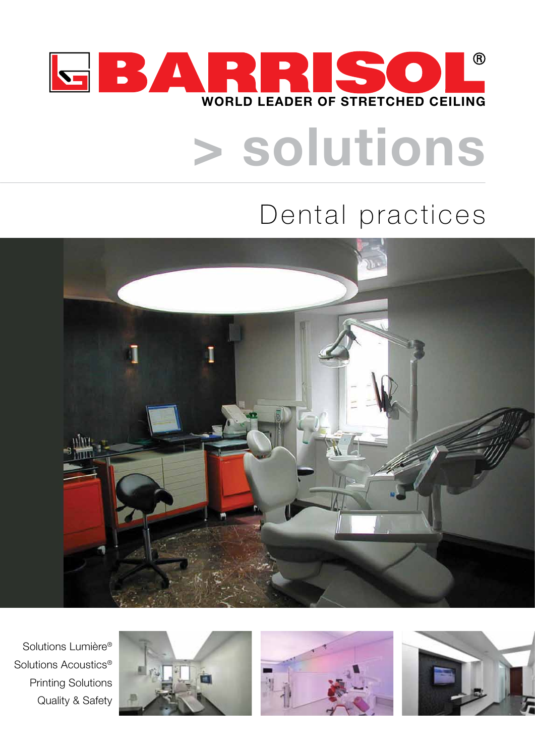

# **> solutions**

# Dental practices



Solutions Lumière® Solutions Acoustics® Printing Solutions Quality & Safety





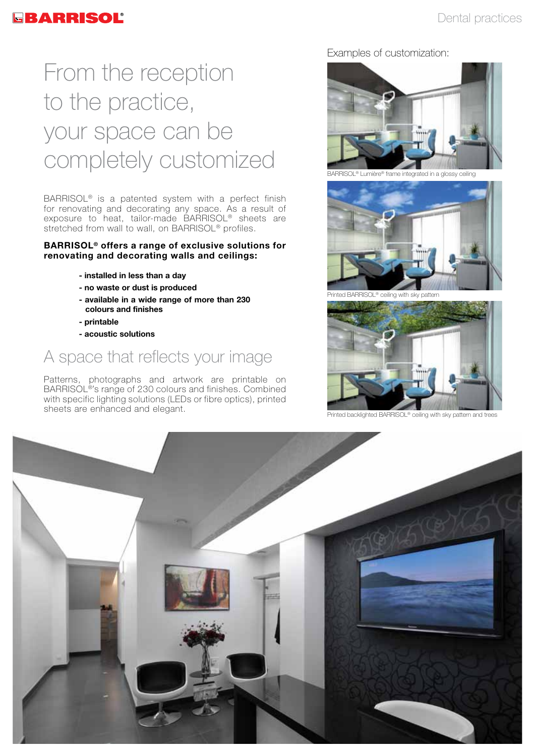# From the reception to the practice, your space can be completely customized

BARRISOL® is a patented system with a perfect finish for renovating and decorating any space. As a result of exposure to heat, tailor-made BARRISOL® sheets are stretched from wall to wall, on BARRISOL<sup>®</sup> profiles.

#### **BARRISOL® offers a range of exclusive solutions for renovating and decorating walls and ceilings:**

- **installed in less than a day**
- **- no waste or dust is produced**
- **- available in a wide range of more than 230 colours and finishes**
- **printable**
- **- acoustic solutions**

# A space that reflects your image

Patterns, photographs and artwork are printable on BARRISOL®'s range of 230 colours and finishes. Combined with specific lighting solutions (LEDs or fibre optics), printed sheets are enhanced and elegant.

Examples of customization:



BARRISOL® Lumière® frame integrated in a glossy ceiling



Printed BARRISOL® ceiling with sky pattern



Printed backlighted BARRISOL® ceiling with sky pattern and tre

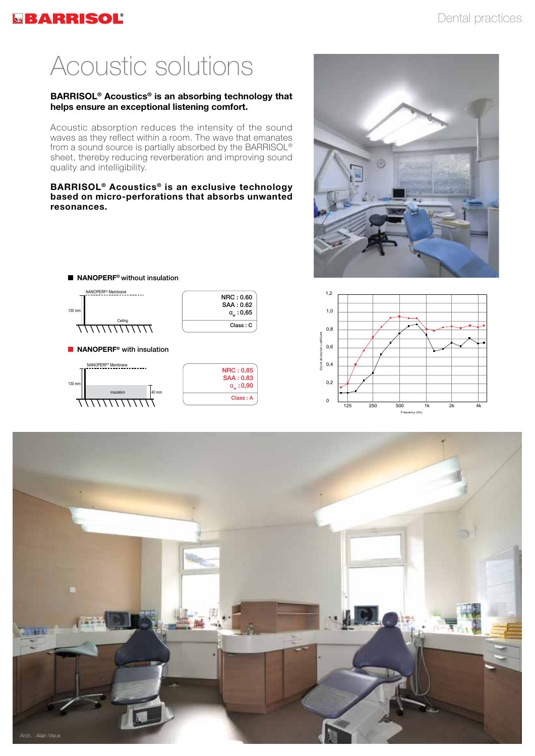## **GBARRISOL**

# Acoustic solutions

#### **BARRISOL® Acoustics® is an absorbing technology that helps ensure an exceptional listening comfort.**

Acoustic absorption reduces the intensity of the sound waves as they reflect within a room. The wave that emanates from a sound source is partially absorbed by the BARRISOL® sheet, thereby reducing reverberation and improving sound quality and intelligibility.

#### **BARRISOL® Acoustics® is an exclusive technology based on micro-perforations that absorbs unwanted resonances.**

NRC : 0.60 SAA : 0.62  $\alpha_{w}$  : 0,65 Class : C

NRC : 0.85 SAA : 0.83  $\alpha_{\text{w}}$  : 0,90 Class : A

**NANOPERF<sup>®</sup>** with insulation NANOPERF<sup>®</sup> Membrane

■ NANOPERF<sup>®</sup> without insulation NANOPERF<sup>®</sup> Membrane

Ceiling

insulation 40 mm

 $130 r$ 

 $130 \text{ m}$ 





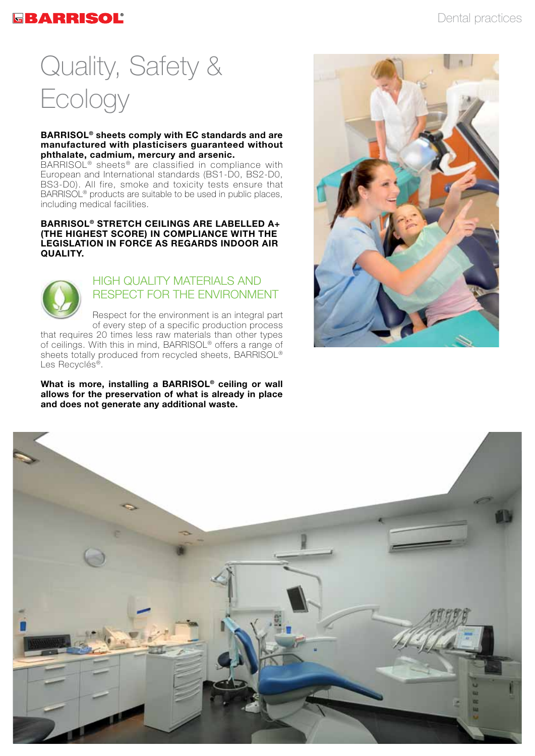### GBARRISOL®

# Quality, Safety & Ecology

#### **BARRISOL® sheets comply with EC standards and are manufactured with plasticisers guaranteed without phthalate, cadmium, mercury and arsenic.**

BARRISOL® sheets® are classified in compliance with European and International standards (BS1-D0, BS2-D0, BS3-D0). All fire, smoke and toxicity tests ensure that BARRISOL<sup>®</sup> products are suitable to be used in public places, including medical facilities.

#### **BARRISOL® STRETCH CEILINGS ARE LABELLED A+ (THE HIGHEST SCORE) IN COMPLIANCE WITH THE LEGISLATION IN FORCE AS REGARDS INDOOR AIR QUALITY.**



### HIGH QUALITY MATERIALS AND RESPECT FOR THE ENVIRONMENT

Respect for the environment is an integral part of every step of a specific production process

that requires 20 times less raw materials than other types of ceilings. With this in mind, BARRISOL® offers a range of sheets totally produced from recycled sheets, BARRISOL<sup>®</sup> Les Recyclés®.

**What is more, installing a BARRISOL® ceiling or wall allows for the preservation of what is already in place and does not generate any additional waste.**



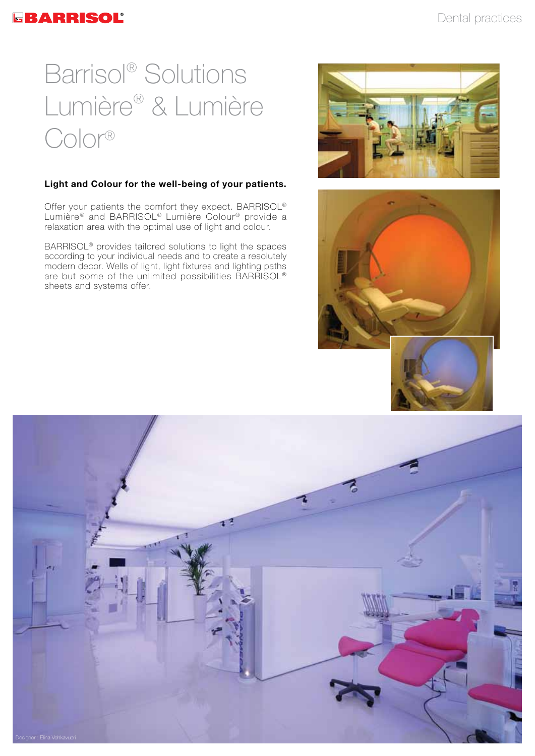# Barrisol® Solutions Lumière® & Lumière Color®

### **Light and Colour for the well-being of your patients.**

Offer your patients the comfort they expect. BARRISOL® Lumière® and BARRISOL® Lumière Colour® provide a relaxation area with the optimal use of light and colour.

BARRISOL® provides tailored solutions to light the spaces according to your individual needs and to create a resolutely modern decor. Wells of light, light fixtures and lighting paths are but some of the unlimited possibilities BARRISOL® sheets and systems offer.